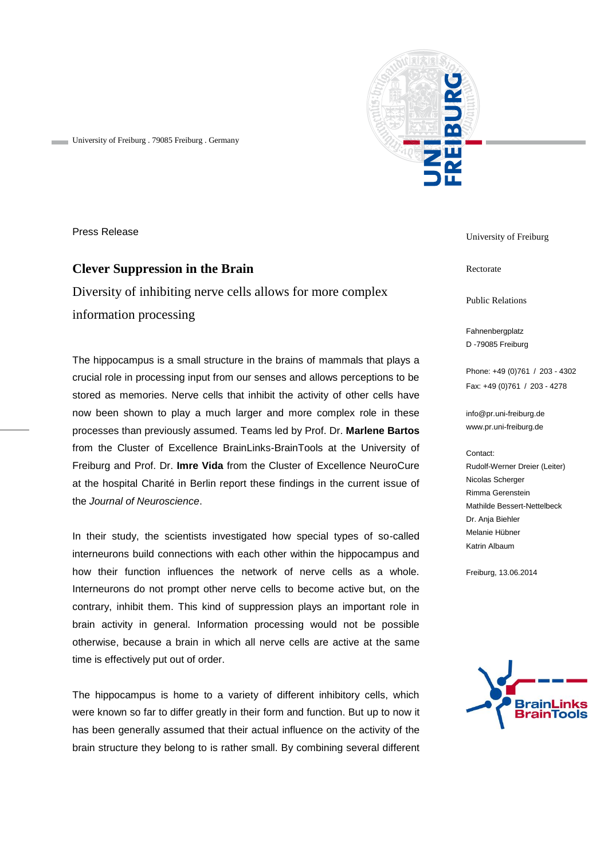

University of Freiburg . 79085 Freiburg . Germany

Press Release

# **Clever Suppression in the Brain**

Diversity of inhibiting nerve cells allows for more complex information processing

The hippocampus is a small structure in the brains of mammals that plays a crucial role in processing input from our senses and allows perceptions to be stored as memories. Nerve cells that inhibit the activity of other cells have now been shown to play a much larger and more complex role in these processes than previously assumed. Teams led by Prof. Dr. **Marlene Bartos** from the Cluster of Excellence BrainLinks-BrainTools at the University of Freiburg and Prof. Dr. **Imre Vida** from the Cluster of Excellence NeuroCure at the hospital Charité in Berlin report these findings in the current issue of the *Journal of Neuroscience*.

In their study, the scientists investigated how special types of so-called interneurons build connections with each other within the hippocampus and how their function influences the network of nerve cells as a whole. Interneurons do not prompt other nerve cells to become active but, on the contrary, inhibit them. This kind of suppression plays an important role in brain activity in general. Information processing would not be possible otherwise, because a brain in which all nerve cells are active at the same time is effectively put out of order.

The hippocampus is home to a variety of different inhibitory cells, which were known so far to differ greatly in their form and function. But up to now it has been generally assumed that their actual influence on the activity of the brain structure they belong to is rather small. By combining several different

University of Freiburg

Rectorate

Public Relations

Fahnenbergplatz D -79085 Freiburg

Phone: +49 (0)761 / 203 - 4302 Fax: +49 (0)761 / 203 - 4278

[info@pr.uni-freiburg.de](mailto:info@pr.uni-freiburg.de) www.pr.uni-freiburg.de

#### Contact:

Rudolf-Werner Dreier (Leiter) Nicolas Scherger Rimma Gerenstein Mathilde Bessert-Nettelbeck Dr. Anja Biehler Melanie Hübner Katrin Albaum

Freiburg, 13.06.2014